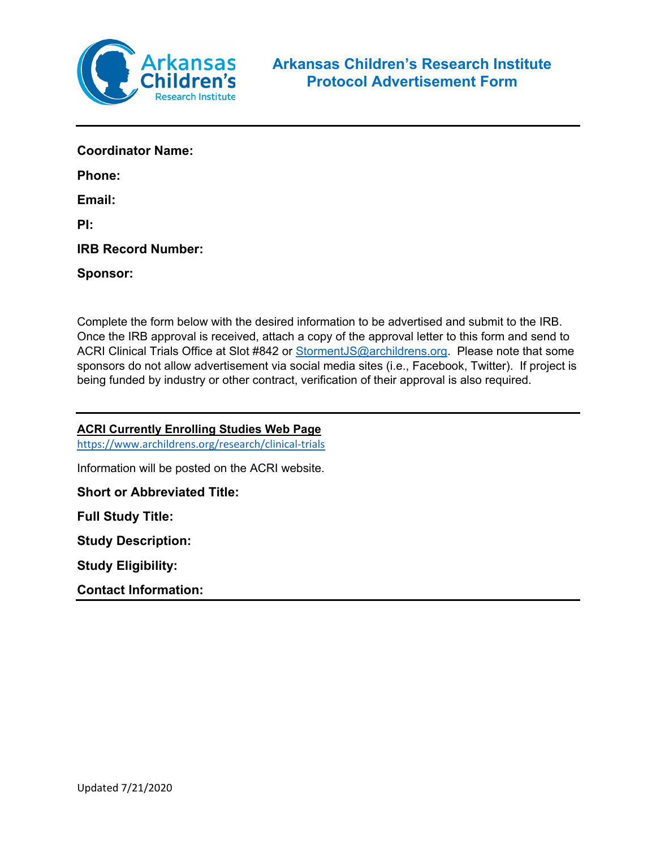

| <b>Coordinator Name:</b>  |
|---------------------------|
| Phone:                    |
| Email:                    |
| PI:                       |
| <b>IRB Record Number:</b> |
| <b>Sponsor:</b>           |
|                           |

Complete the form below with the desired information to be advertised and submit to the IRB. Once the IRB approval is received, attach a copy of the approval letter to this form and send to ACRI Clinical Trials Office at Slot #842 or [StormentJS@archildrens.org.](mailto:StormentJS@archildrens.org) Please note that some sponsors do not allow advertisement via social media sites (i.e., Facebook, Twitter). If project is being funded by industry or other contract, verification of their approval is also required.

### **ACRI Currently Enrolling Studies Web Page**

<https://www.archildrens.org/research/clinical-trials>

Information will be posted on the ACRI website.

#### **Short or Abbreviated Title:**

**Full Study Title:** 

**Study Description:**

**Study Eligibility:**

**Contact Information:**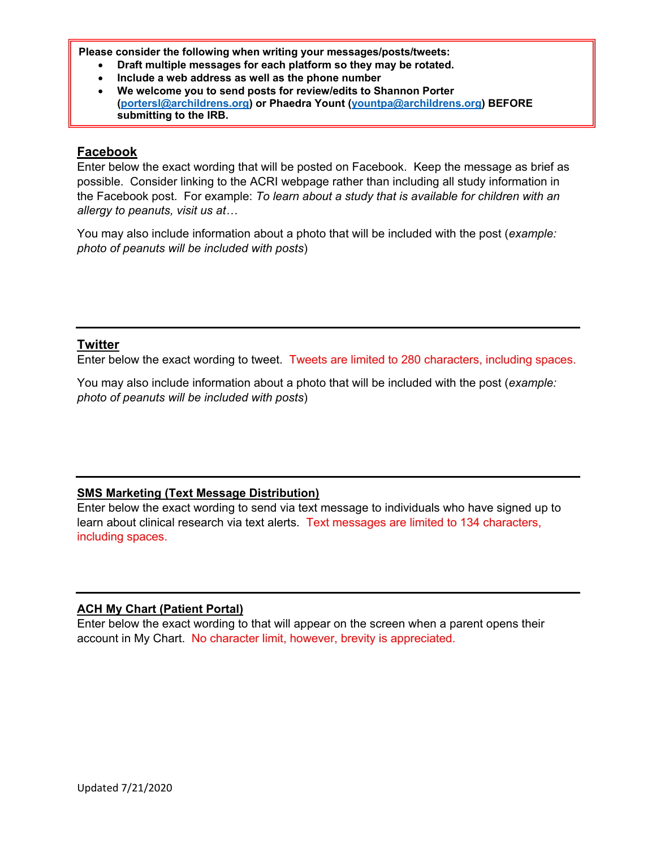**Please consider the following when writing your messages/posts/tweets:**

- **Draft multiple messages for each platform so they may be rotated.**
- **Include a web address as well as the phone number**
- **We welcome you to send posts for review/edits to Shannon Porter [\(portersl@archildrens.org\)](mailto:portersl@archildrens.org) or Phaedra Yount [\(yountpa@archildrens.org\)](mailto:yountpa@archildrens.org) BEFORE submitting to the IRB.**

### **Facebook**

Enter below the exact wording that will be posted on Facebook. Keep the message as brief as possible. Consider linking to the ACRI webpage rather than including all study information in the Facebook post. For example: *To learn about a study that is available for children with an allergy to peanuts, visit us at…*

You may also include information about a photo that will be included with the post (*example: photo of peanuts will be included with posts*)

# **Twitter**

Enter below the exact wording to tweet. Tweets are limited to 280 characters, including spaces.

You may also include information about a photo that will be included with the post (*example: photo of peanuts will be included with posts*)

# **SMS Marketing (Text Message Distribution)**

Enter below the exact wording to send via text message to individuals who have signed up to learn about clinical research via text alerts. Text messages are limited to 134 characters, including spaces.

#### **ACH My Chart (Patient Portal)**

Enter below the exact wording to that will appear on the screen when a parent opens their account in My Chart. No character limit, however, brevity is appreciated.